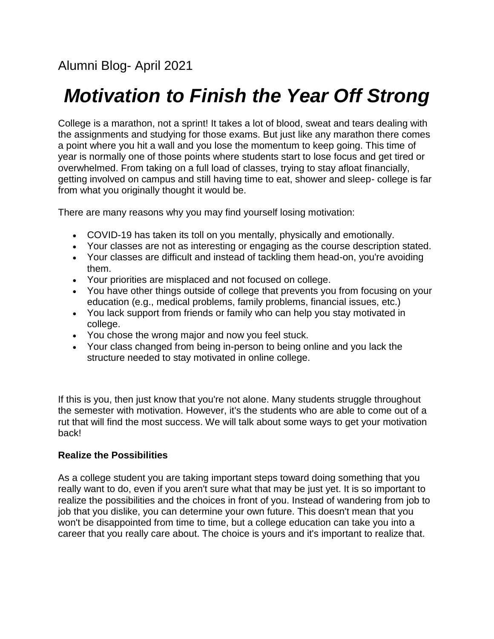# *Motivation to Finish the Year Off Strong*

College is a marathon, not a sprint! It takes a lot of blood, sweat and tears dealing with the assignments and studying for those exams. But just like any marathon there comes a point where you hit a wall and you lose the momentum to keep going. This time of year is normally one of those points where students start to lose focus and get tired or overwhelmed. From taking on a full load of classes, trying to stay afloat financially, getting involved on campus and still having time to eat, shower and sleep- college is far from what you originally thought it would be.

There are many reasons why you may find yourself losing motivation:

- COVID-19 has taken its toll on you mentally, physically and emotionally.
- Your classes are not as interesting or engaging as the course description stated.
- Your classes are difficult and instead of tackling them head-on, you're avoiding them.
- Your priorities are misplaced and not focused on college.
- You have other things outside of college that prevents you from focusing on your education (e.g., medical problems, family problems, financial issues, etc.)
- You lack support from friends or family who can help you stay motivated in college.
- You chose the wrong major and now you feel stuck.
- Your class changed from being in-person to being online and you lack the structure needed to stay motivated in online college.

If this is you, then just know that you're not alone. Many students struggle throughout the semester with motivation. However, it's the students who are able to come out of a rut that will find the most success. We will talk about some ways to get your motivation back!

# **Realize the Possibilities**

As a college student you are taking important steps toward doing something that you really want to do, even if you aren't sure what that may be just yet. It is so important to realize the possibilities and the choices in front of you. Instead of wandering from job to job that you dislike, you can determine your own future. This doesn't mean that you won't be disappointed from time to time, but a college education can take you into a career that you really care about. The choice is yours and it's important to realize that.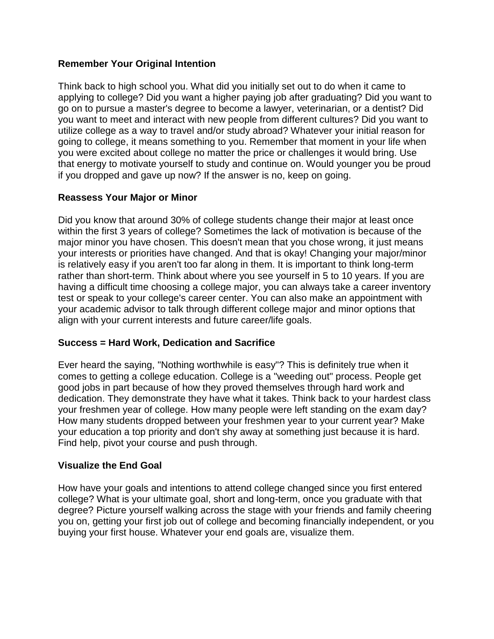#### **Remember Your Original Intention**

Think back to high school you. What did you initially set out to do when it came to applying to college? Did you want a higher paying job after graduating? Did you want to go on to pursue a master's degree to become a lawyer, veterinarian, or a dentist? Did you want to meet and interact with new people from different cultures? Did you want to utilize college as a way to travel and/or study abroad? Whatever your initial reason for going to college, it means something to you. Remember that moment in your life when you were excited about college no matter the price or challenges it would bring. Use that energy to motivate yourself to study and continue on. Would younger you be proud if you dropped and gave up now? If the answer is no, keep on going.

#### **Reassess Your Major or Minor**

Did you know that around 30% of college students change their major at least once within the first 3 years of college? Sometimes the lack of motivation is because of the major minor you have chosen. This doesn't mean that you chose wrong, it just means your interests or priorities have changed. And that is okay! Changing your major/minor is relatively easy if you aren't too far along in them. It is important to think long-term rather than short-term. Think about where you see yourself in 5 to 10 years. If you are having a difficult time choosing a college major, you can always take a career inventory test or speak to your college's career center. You can also make an appointment with your academic advisor to talk through different college major and minor options that align with your current interests and future career/life goals.

# **Success = Hard Work, Dedication and Sacrifice**

Ever heard the saying, "Nothing worthwhile is easy"? This is definitely true when it comes to getting a college education. College is a "weeding out" process. People get good jobs in part because of how they proved themselves through hard work and dedication. They demonstrate they have what it takes. Think back to your hardest class your freshmen year of college. How many people were left standing on the exam day? How many students dropped between your freshmen year to your current year? Make your education a top priority and don't shy away at something just because it is hard. Find help, pivot your course and push through.

#### **Visualize the End Goal**

How have your goals and intentions to attend college changed since you first entered college? What is your ultimate goal, short and long-term, once you graduate with that degree? Picture yourself walking across the stage with your friends and family cheering you on, getting your first job out of college and becoming financially independent, or you buying your first house. Whatever your end goals are, visualize them.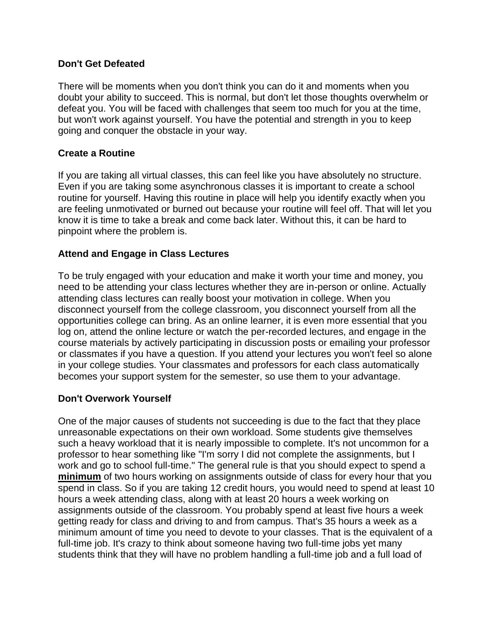#### **Don't Get Defeated**

There will be moments when you don't think you can do it and moments when you doubt your ability to succeed. This is normal, but don't let those thoughts overwhelm or defeat you. You will be faced with challenges that seem too much for you at the time, but won't work against yourself. You have the potential and strength in you to keep going and conquer the obstacle in your way.

#### **Create a Routine**

If you are taking all virtual classes, this can feel like you have absolutely no structure. Even if you are taking some asynchronous classes it is important to create a school routine for yourself. Having this routine in place will help you identify exactly when you are feeling unmotivated or burned out because your routine will feel off. That will let you know it is time to take a break and come back later. Without this, it can be hard to pinpoint where the problem is.

#### **Attend and Engage in Class Lectures**

To be truly engaged with your education and make it worth your time and money, you need to be attending your class lectures whether they are in-person or online. Actually attending class lectures can really boost your motivation in college. When you disconnect yourself from the college classroom, you disconnect yourself from all the opportunities college can bring. As an online learner, it is even more essential that you log on, attend the online lecture or watch the per-recorded lectures, and engage in the course materials by actively participating in discussion posts or emailing your professor or classmates if you have a question. If you attend your lectures you won't feel so alone in your college studies. Your classmates and professors for each class automatically becomes your support system for the semester, so use them to your advantage.

# **Don't Overwork Yourself**

One of the major causes of students not succeeding is due to the fact that they place unreasonable expectations on their own workload. Some students give themselves such a heavy workload that it is nearly impossible to complete. It's not uncommon for a professor to hear something like "I'm sorry I did not complete the assignments, but I work and go to school full-time." The general rule is that you should expect to spend a **minimum** of two hours working on assignments outside of class for every hour that you spend in class. So if you are taking 12 credit hours, you would need to spend at least 10 hours a week attending class, along with at least 20 hours a week working on assignments outside of the classroom. You probably spend at least five hours a week getting ready for class and driving to and from campus. That's 35 hours a week as a minimum amount of time you need to devote to your classes. That is the equivalent of a full-time job. It's crazy to think about someone having two full-time jobs yet many students think that they will have no problem handling a full-time job and a full load of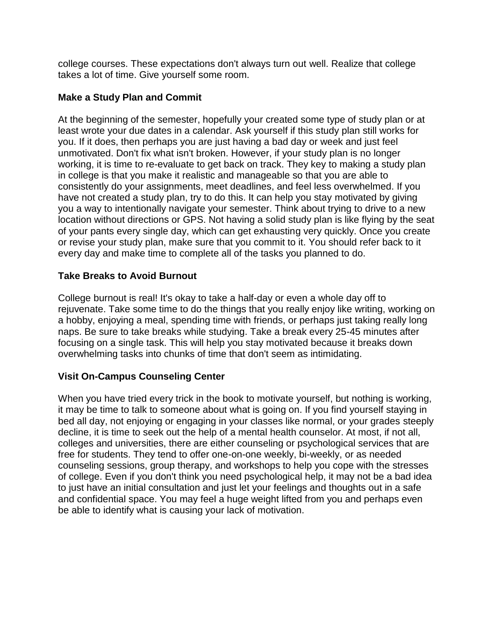college courses. These expectations don't always turn out well. Realize that college takes a lot of time. Give yourself some room.

#### **Make a Study Plan and Commit**

At the beginning of the semester, hopefully your created some type of study plan or at least wrote your due dates in a calendar. Ask yourself if this study plan still works for you. If it does, then perhaps you are just having a bad day or week and just feel unmotivated. Don't fix what isn't broken. However, if your study plan is no longer working, it is time to re-evaluate to get back on track. They key to making a study plan in college is that you make it realistic and manageable so that you are able to consistently do your assignments, meet deadlines, and feel less overwhelmed. If you have not created a study plan, try to do this. It can help you stay motivated by giving you a way to intentionally navigate your semester. Think about trying to drive to a new location without directions or GPS. Not having a solid study plan is like flying by the seat of your pants every single day, which can get exhausting very quickly. Once you create or revise your study plan, make sure that you commit to it. You should refer back to it every day and make time to complete all of the tasks you planned to do.

#### **Take Breaks to Avoid Burnout**

College burnout is real! It's okay to take a half-day or even a whole day off to rejuvenate. Take some time to do the things that you really enjoy like writing, working on a hobby, enjoying a meal, spending time with friends, or perhaps just taking really long naps. Be sure to take breaks while studying. Take a break every 25-45 minutes after focusing on a single task. This will help you stay motivated because it breaks down overwhelming tasks into chunks of time that don't seem as intimidating.

# **Visit On-Campus Counseling Center**

When you have tried every trick in the book to motivate yourself, but nothing is working, it may be time to talk to someone about what is going on. If you find yourself staying in bed all day, not enjoying or engaging in your classes like normal, or your grades steeply decline, it is time to seek out the help of a mental health counselor. At most, if not all, colleges and universities, there are either counseling or psychological services that are free for students. They tend to offer one-on-one weekly, bi-weekly, or as needed counseling sessions, group therapy, and workshops to help you cope with the stresses of college. Even if you don't think you need psychological help, it may not be a bad idea to just have an initial consultation and just let your feelings and thoughts out in a safe and confidential space. You may feel a huge weight lifted from you and perhaps even be able to identify what is causing your lack of motivation.